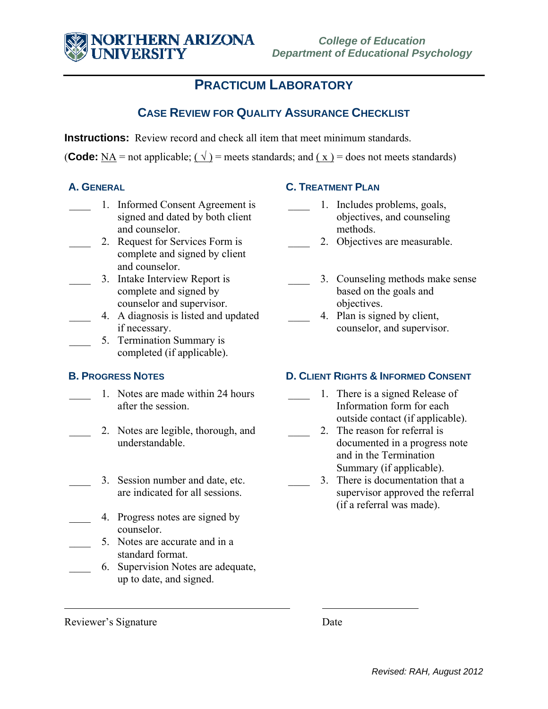## **PRACTICUM LABORATORY**

### **CASE REVIEW FOR QUALITY ASSURANCE CHECKLIST**

**Instructions:** Review record and check all item that meet minimum standards.

**(Code:**  $\overrightarrow{NA}$  = not applicable;  $(\sqrt{})$  = meets standards; and  $(\sqrt{x})$  = does not meets standards)

- \_\_\_\_ 1. Informed Consent Agreement is signed and dated by both client and counselor.
	- 2. Request for Services Form is complete and signed by client and counselor.
- 3. Intake Interview Report is complete and signed by counselor and supervisor.
	- \_\_\_\_ 4. A diagnosis is listed and updated if necessary.
- 5. Termination Summary is completed (if applicable).

- 1. Notes are made within 24 hours after the session.
- 2. Notes are legible, thorough, and understandable.
- 3. Session number and date, etc. are indicated for all sessions.
- 4. Progress notes are signed by counselor.
	- 5. Notes are accurate and in a standard format.
	- \_\_\_\_ 6. Supervision Notes are adequate, up to date, and signed.

#### **A. GENERAL C. TREATMENT PLAN**

- \_\_\_\_ 1. Includes problems, goals, objectives, and counseling methods.
	- 2. Objectives are measurable.
- 3. Counseling methods make sense based on the goals and objectives.
- 4. Plan is signed by client, counselor, and supervisor.

### **B. PROGRESS NOTES D. CLIENT RIGHTS & INFORMED CONSENT**

- 1. There is a signed Release of Information form for each outside contact (if applicable).
- 2. The reason for referral is documented in a progress note and in the Termination Summary (if applicable).
	- 3. There is documentation that a supervisor approved the referral (if a referral was made).

Reviewer's Signature Date

 $\overline{a}$